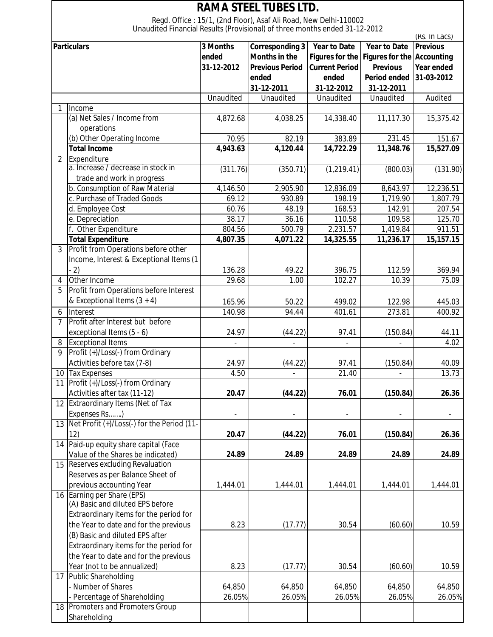| <b>RAMA STEEL TUBES LTD.</b> |                                                                            |            |                                                                  |                        |                            |                 |  |  |  |
|------------------------------|----------------------------------------------------------------------------|------------|------------------------------------------------------------------|------------------------|----------------------------|-----------------|--|--|--|
|                              |                                                                            |            | Regd. Office: 15/1, (2nd Floor), Asaf Ali Road, New Delhi-110002 |                        |                            |                 |  |  |  |
|                              | Unaudited Financial Results (Provisional) of three months ended 31-12-2012 |            |                                                                  |                        |                            | (RS. In Lacs)   |  |  |  |
| <b>Particulars</b>           |                                                                            | 3 Months   | <b>Corresponding 3</b>                                           | <b>Year to Date</b>    | <b>Year to Date</b>        | <b>Previous</b> |  |  |  |
|                              |                                                                            | ended      | <b>Months in the</b>                                             | <b>Figures for the</b> | Figures for the Accounting |                 |  |  |  |
|                              |                                                                            | 31-12-2012 | <b>Previous Period</b>                                           | <b>Current Period</b>  | <b>Previous</b>            | Year ended      |  |  |  |
|                              |                                                                            |            | ended                                                            | ended                  | <b>Period ended</b>        | 31-03-2012      |  |  |  |
|                              |                                                                            |            | 31-12-2011                                                       | 31-12-2012             | 31-12-2011                 |                 |  |  |  |
|                              |                                                                            | Unaudited  | Unaudited                                                        | Unaudited              | Unaudited                  | Audited         |  |  |  |
| 1                            | Income                                                                     |            |                                                                  |                        |                            |                 |  |  |  |
|                              | (a) Net Sales / Income from                                                | 4,872.68   | 4,038.25                                                         | 14,338.40              | 11,117.30                  | 15,375.42       |  |  |  |
|                              | operations                                                                 |            |                                                                  |                        |                            |                 |  |  |  |
|                              | (b) Other Operating Income                                                 | 70.95      | 82.19                                                            | 383.89                 | 231.45                     | 151.67          |  |  |  |
|                              | <b>Total Income</b>                                                        | 4,943.63   | 4,120.44                                                         | 14,722.29              | 11,348.76                  | 15,527.09       |  |  |  |
| $\overline{2}$               | Expenditure                                                                |            |                                                                  |                        |                            |                 |  |  |  |
|                              | a. Increase / decrease in stock in                                         | (311.76)   | (350.71)                                                         | (1, 219.41)            | (800.03)                   | (131.90)        |  |  |  |
|                              | trade and work in progress                                                 |            |                                                                  |                        |                            |                 |  |  |  |
|                              | b. Consumption of Raw Material                                             | 4,146.50   | 2,905.90                                                         | 12,836.09              | 8,643.97                   | 12,236.51       |  |  |  |
|                              | c. Purchase of Traded Goods                                                | 69.12      | 930.89                                                           | 198.19                 | 1,719.90                   | 1,807.79        |  |  |  |
|                              | d. Employee Cost                                                           | 60.76      | 48.19                                                            | 168.53                 | 142.91                     | 207.54          |  |  |  |
|                              | e. Depreciation                                                            | 38.17      | 36.16                                                            | 110.58                 | 109.58                     | 125.70          |  |  |  |
|                              | f. Other Expenditure                                                       | 804.56     | 500.79                                                           | 2,231.57               | 1,419.84                   | 911.51          |  |  |  |
|                              | <b>Total Expenditure</b>                                                   | 4,807.35   | 4,071.22                                                         | 14,325.55              | 11,236.17                  | 15,157.15       |  |  |  |
| $\overline{3}$               | Profit from Operations before other                                        |            |                                                                  |                        |                            |                 |  |  |  |
|                              | Income, Interest & Exceptional Items (1                                    |            |                                                                  |                        |                            |                 |  |  |  |
|                              | $-2)$                                                                      | 136.28     | 49.22                                                            | 396.75                 | 112.59                     | 369.94          |  |  |  |
| 4                            | Other Income                                                               | 29.68      | 1.00                                                             | 102.27                 | 10.39                      | 75.09           |  |  |  |
| 5                            | Profit from Operations before Interest                                     |            |                                                                  |                        |                            |                 |  |  |  |
|                              | & Exceptional Items $(3 + 4)$                                              |            |                                                                  |                        |                            |                 |  |  |  |
|                              | Interest                                                                   | 165.96     | 50.22<br>94.44                                                   | 499.02                 | 122.98                     | 445.03          |  |  |  |
| 6<br>7                       | Profit after Interest but before                                           | 140.98     |                                                                  | 401.61                 | 273.81                     | 400.92          |  |  |  |
|                              | exceptional Items (5 - 6)                                                  | 24.97      | (44.22)                                                          | 97.41                  | (150.84)                   | 44.11           |  |  |  |
|                              | <b>Exceptional Items</b>                                                   |            |                                                                  |                        |                            | 4.02            |  |  |  |
| 8<br>9                       | Profit (+)/Loss(-) from Ordinary                                           |            |                                                                  |                        |                            |                 |  |  |  |
|                              | Activities before tax (7-8)                                                | 24.97      | (44.22)                                                          | 97.41                  | (150.84)                   | 40.09           |  |  |  |
|                              | 10 Tax Expenses                                                            | 4.50       |                                                                  | 21.40                  |                            | 13.73           |  |  |  |
|                              | 11 Profit (+)/Loss(-) from Ordinary                                        |            |                                                                  |                        |                            |                 |  |  |  |
|                              | Activities after tax (11-12)                                               | 20.47      | (44.22)                                                          | 76.01                  | (150.84)                   | 26.36           |  |  |  |
|                              | 12 Extraordinary Items (Net of Tax                                         |            |                                                                  |                        |                            |                 |  |  |  |
|                              | Expenses Rs)                                                               |            |                                                                  |                        |                            |                 |  |  |  |
|                              | 13 Net Profit (+)/Loss(-) for the Period (11-                              |            |                                                                  |                        |                            |                 |  |  |  |
|                              | 12)                                                                        | 20.47      | (44.22)                                                          | 76.01                  | (150.84)                   | 26.36           |  |  |  |
| 14                           | Paid-up equity share capital (Face                                         |            |                                                                  |                        |                            |                 |  |  |  |
|                              | Value of the Shares be indicated)                                          | 24.89      | 24.89                                                            | 24.89                  | 24.89                      | 24.89           |  |  |  |
| 15                           | <b>Reserves excluding Revaluation</b>                                      |            |                                                                  |                        |                            |                 |  |  |  |
|                              | Reserves as per Balance Sheet of                                           |            |                                                                  |                        |                            |                 |  |  |  |
|                              | previous accounting Year                                                   | 1,444.01   | 1,444.01                                                         | 1,444.01               | 1,444.01                   | 1,444.01        |  |  |  |
|                              | 16 Earning per Share (EPS)                                                 |            |                                                                  |                        |                            |                 |  |  |  |
|                              | (A) Basic and diluted EPS before                                           |            |                                                                  |                        |                            |                 |  |  |  |
|                              | Extraordinary items for the period for                                     |            |                                                                  |                        |                            |                 |  |  |  |
|                              | the Year to date and for the previous                                      | 8.23       | (17.77)                                                          | 30.54                  | (60.60)                    | 10.59           |  |  |  |
|                              | (B) Basic and diluted EPS after                                            |            |                                                                  |                        |                            |                 |  |  |  |
|                              | Extraordinary items for the period for                                     |            |                                                                  |                        |                            |                 |  |  |  |
|                              | the Year to date and for the previous                                      |            |                                                                  |                        |                            |                 |  |  |  |
|                              | Year (not to be annualized)                                                | 8.23       | (17.77)                                                          | 30.54                  | (60.60)                    | 10.59           |  |  |  |
| 17                           | Public Shareholding                                                        |            |                                                                  |                        |                            |                 |  |  |  |
|                              | - Number of Shares                                                         | 64,850     | 64,850                                                           | 64,850                 | 64,850                     | 64,850          |  |  |  |
|                              | - Percentage of Shareholding                                               | 26.05%     | 26.05%                                                           | 26.05%                 | 26.05%                     | 26.05%          |  |  |  |
|                              | 18 Promoters and Promoters Group                                           |            |                                                                  |                        |                            |                 |  |  |  |
|                              | Shareholding                                                               |            |                                                                  |                        |                            |                 |  |  |  |